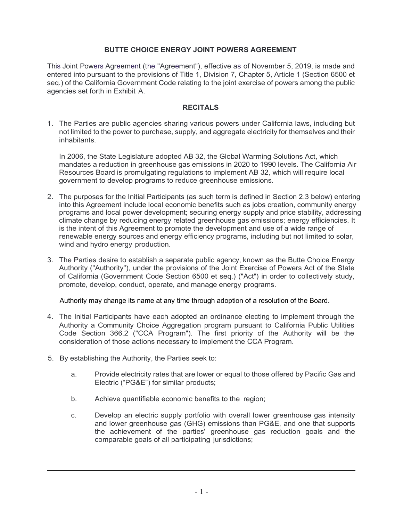# **BUTTE CHOICE ENERGY JOINT POWERS AGREEMENT**

This Joint Powers Agreement (the "Agreement"), effective as of November 5, 2019, is made and entered into pursuant to the provisions of Title 1, Division 7, Chapter 5, Article 1 (Section 6500 et seq.) of the California Government Code relating to the joint exercise of powers among the public agencies set forth in Exhibit A.

### **RECITALS**

1. The Parties are public agencies sharing various powers under California laws, including but not limited to the power to purchase, supply, and aggregate electricity for themselves and their inhabitants.

In 2006, the State Legislature adopted AB 32, the Global Warming Solutions Act, which mandates a reduction in greenhouse gas emissions in 2020 to 1990 levels. The California Air Resources Board is promulgating regulations to implement AB 32, which will require local government to develop programs to reduce greenhouse emissions.

- 2. The purposes for the Initial Participants (as such term is defined in Section 2.3 below) entering into this Agreement include local economic benefits such as jobs creation, community energy programs and local power development; securing energy supply and price stability, addressing climate change by reducing energy related greenhouse gas emissions; energy efficiencies. It is the intent of this Agreement to promote the development and use of a wide range of renewable energy sources and energy efficiency programs, including but not limited to solar, wind and hydro energy production.
- 3. The Parties desire to establish a separate public agency, known as the Butte Choice Energy Authority ("Authority"), under the provisions of the Joint Exercise of Powers Act of the State of California (Government Code Section 6500 et seq.) ("Act") in order to collectively study, promote, develop, conduct, operate, and manage energy programs.

Authority may change its name at any time through adoption of a resolution of the Board.

- 4. The Initial Participants have each adopted an ordinance electing to implement through the Authority a Community Choice Aggregation program pursuant to California Public Utilities Code Section 366.2 ("CCA Program"). The first priority of the Authority will be the consideration of those actions necessary to implement the CCA Program.
- 5. By establishing the Authority, the Parties seek to:
	- a. Provide electricity rates that are lower or equal to those offered by Pacific Gas and Electric ("PG&E") for similar products;
	- b. Achieve quantifiable economic benefits to the region;
	- c. Develop an electric supply portfolio with overall lower greenhouse gas intensity and lower greenhouse gas (GHG) emissions than PG&E, and one that supports the achievement of the parties' greenhouse gas reduction goals and the comparable goals of all participating jurisdictions;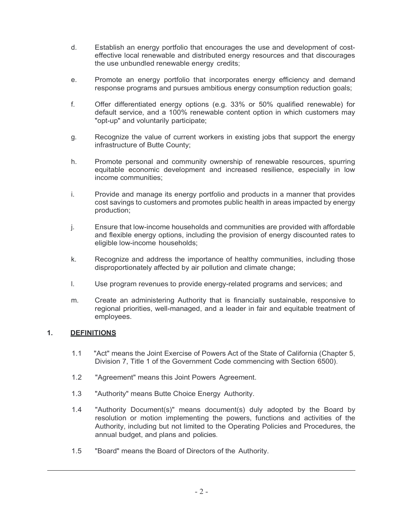- d. Establish an energy portfolio that encourages the use and development of costeffective local renewable and distributed energy resources and that discourages the use unbundled renewable energy credits;
- e. Promote an energy portfolio that incorporates energy efficiency and demand response programs and pursues ambitious energy consumption reduction goals;
- f. Offer differentiated energy options (e.g. 33% or 50% qualified renewable) for default service, and a 100% renewable content option in which customers may "opt-up" and voluntarily participate;
- g. Recognize the value of current workers in existing jobs that support the energy infrastructure of Butte County;
- h. Promote personal and community ownership of renewable resources, spurring equitable economic development and increased resilience, especially in low income communities;
- i. Provide and manage its energy portfolio and products in a manner that provides cost savings to customers and promotes public health in areas impacted by energy production;
- j. Ensure that low-income households and communities are provided with affordable and flexible energy options, including the provision of energy discounted rates to eligible low-income households;
- k. Recognize and address the importance of healthy communities, including those disproportionately affected by air pollution and climate change;
- l. Use program revenues to provide energy-related programs and services; and
- m. Create an administering Authority that is financially sustainable, responsive to regional priorities, well-managed, and a leader in fair and equitable treatment of employees.

### **1. DEFINITIONS**

- 1.1 "Act" means the Joint Exercise of Powers Act of the State of California (Chapter 5, Division 7, Title 1 of the Government Code commencing with Section 6500).
- 1.2 "Agreement" means this Joint Powers Agreement.
- 1.3 "Authority" means Butte Choice Energy Authority.
- 1.4 "Authority Document(s)" means document(s) duly adopted by the Board by resolution or motion implementing the powers, functions and activities of the Authority, including but not limited to the Operating Policies and Procedures, the annual budget, and plans and policies.
- 1.5 "Board" means the Board of Directors of the Authority.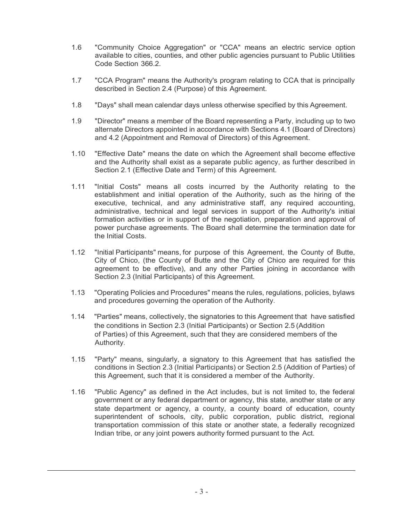- 1.6 "Community Choice Aggregation" or "CCA" means an electric service option available to cities, counties, and other public agencies pursuant to Public Utilities Code Section 366.2.
- 1.7 "CCA Program" means the Authority's program relating to CCA that is principally described in Section 2.4 (Purpose) of this Agreement.
- 1.8 "Days" shall mean calendar days unless otherwise specified by this Agreement.
- 1.9 "Director" means a member of the Board representing a Party, including up to two alternate Directors appointed in accordance with Sections 4.1 (Board of Directors) and 4.2 (Appointment and Removal of Directors) of this Agreement.
- 1.10 "Effective Date" means the date on which the Agreement shall become effective and the Authority shall exist as a separate public agency, as further described in Section 2.1 (Effective Date and Term) of this Agreement.
- 1.11 "Initial Costs" means all costs incurred by the Authority relating to the establishment and initial operation of the Authority, such as the hiring of the executive, technical, and any administrative staff, any required accounting, administrative, technical and legal services in support of the Authority's initial formation activities or in support of the negotiation, preparation and approval of power purchase agreements. The Board shall determine the termination date for the Initial Costs.
- 1.12 "Initial Participants" means, for purpose of this Agreement, the County of Butte, City of Chico, (the County of Butte and the City of Chico are required for this agreement to be effective), and any other Parties joining in accordance with Section 2.3 (Initial Participants) of this Agreement.
- 1.13 "Operating Policies and Procedures" means the rules, regulations, policies, bylaws and procedures governing the operation of the Authority.
- 1.14 "Parties" means, collectively, the signatories to this Agreement that have satisfied the conditions in Section 2.3 (Initial Participants) or Section 2.5 (Addition of Parties) of this Agreement, such that they are considered members of the Authority.
- 1.15 "Party" means, singularly, a signatory to this Agreement that has satisfied the conditions in Section 2.3 (Initial Participants) or Section 2.5 (Addition of Parties) of this Agreement, such that it is considered a member of the Authority.
- 1.16 "Public Agency" as defined in the Act includes, but is not limited to, the federal government or any federal department or agency, this state, another state or any state department or agency, a county, a county board of education, county superintendent of schools, city, public corporation, public district, regional transportation commission of this state or another state, a federally recognized Indian tribe, or any joint powers authority formed pursuant to the Act.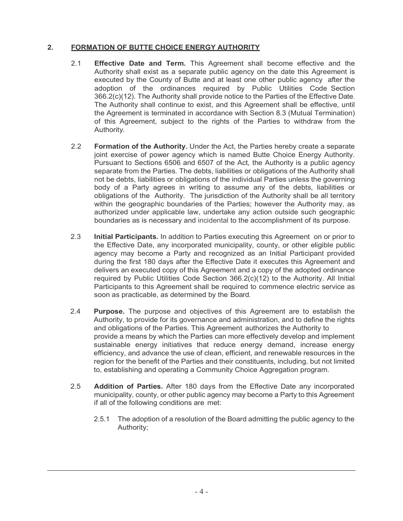# **2. FORMATION OF BUTTE CHOICE ENERGY AUTHORITY**

- 2.1 **Effective Date and Term.** This Agreement shall become effective and the Authority shall exist as a separate public agency on the date this Agreement is executed by the County of Butte and at least one other public agency after the adoption of the ordinances required by Public Utilities Code Section 366.2(c)(12). The Authority shall provide notice to the Parties of the Effective Date. The Authority shall continue to exist, and this Agreement shall be effective, until the Agreement is terminated in accordance with Section 8.3 (Mutual Termination) of this Agreement, subject to the rights of the Parties to withdraw from the Authority.
- 2.2 **Formation of the Authority.** Under the Act, the Parties hereby create a separate joint exercise of power agency which is named Butte Choice Energy Authority. Pursuant to Sections 6506 and 6507 of the Act, the Authority is a public agency separate from the Parties. The debts, liabilities or obligations of the Authority shall not be debts, liabilities or obligations of the individual Parties unless the governing body of a Party agrees in writing to assume any of the debts, liabilities or obligations of the Authority. The jurisdiction of the Authority shall be all territory within the geographic boundaries of the Parties; however the Authority may, as authorized under applicable law, undertake any action outside such geographic boundaries as is necessary and incidental to the accomplishment of its purpose.
- 2.3 **Initial Participants.** In addition to Parties executing this Agreement on or prior to the Effective Date, any incorporated municipality, county, or other eligible public agency may become a Party and recognized as an Initial Participant provided during the first 180 days after the Effective Date it executes this Agreement and delivers an executed copy of this Agreement and a copy of the adopted ordinance required by Public Utilities Code Section 366.2(c)(12) to the Authority. All Initial Participants to this Agreement shall be required to commence electric service as soon as practicable, as determined by the Board.
- 2.4 **Purpose.** The purpose and objectives of this Agreement are to establish the Authority, to provide for its governance and administration, and to define the rights and obligations of the Parties. This Agreement authorizes the Authority to provide a means by which the Parties can more effectively develop and implement sustainable energy initiatives that reduce energy demand, increase energy efficiency, and advance the use of clean, efficient, and renewable resources in the region for the benefit of the Parties and their constituents, including, but not limited to, establishing and operating a Community Choice Aggregation program.
- 2.5 **Addition of Parties.** After 180 days from the Effective Date any incorporated municipality, county, or other public agency may become a Party to this Agreement if all of the following conditions are met:
	- 2.5.1 The adoption of a resolution of the Board admitting the public agency to the Authority;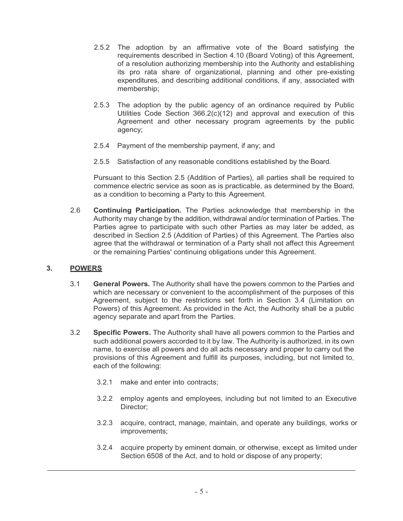- 2.5.2 The adoption by an affirmative vote of the Board satisfying the requirements described in Section 4.10 (Board Voting) of this Agreement, of a resolution authorizing membership into the Authority and establishing its pro rata share of organizational, planning and other pre-existing expenditures, and describing additional conditions, if any, associated with membership;
- 2.5.3 The adoption by the public agency of an ordinance required by Public Utilities Code Section 366.2(c)(12) and approval and execution of this Agreement and other necessary program agreements by the public agency;
- 2.5.4 Payment of the membership payment, if any; and
- 2.5.5 Satisfaction of any reasonable conditions established by the Board.

Pursuant to this Section 2.5 (Addition of Parties), all parties shall be required to commence electric service as soon as is practicable, as determined by the Board, as a condition to becoming a Party to this Agreement.

2.6 **Continuing Participation.** The Parties acknowledge that membership in the Authority may change by the addition, withdrawal and/or termination of Parties. The Parties agree to participate with such other Parties as may later be added, as described in Section 2.5 (Addition of Parties) of this Agreement. The Parties also agree that the withdrawal or termination of a Party shall not affect this Agreement or the remaining Parties' continuing obligations under this Agreement.

### **3. POWERS**

- 3.1 **General Powers.** The Authority shall have the powers common to the Parties and which are necessary or convenient to the accomplishment of the purposes of this Agreement, subject to the restrictions set forth in Section 3.4 (Limitation on Powers) of this Agreement. As provided in the Act, the Authority shall be a public agency separate and apart from the Parties.
- 3.2 **Specific Powers.** The Authority shall have all powers common to the Parties and such additional powers accorded to it by law. The Authority is authorized, in its own name, to exercise all powers and do all acts necessary and proper to carry out the provisions of this Agreement and fulfill its purposes, including, but not limited to, each of the following:
	- 3.2.1 make and enter into contracts;
	- 3.2.2 employ agents and employees, including but not limited to an Executive Director;
	- 3.2.3 acquire, contract, manage, maintain, and operate any buildings, works or improvements;
	- 3.2.4 acquire property by eminent domain, or otherwise, except as limited under Section 6508 of the Act, and to hold or dispose of any property;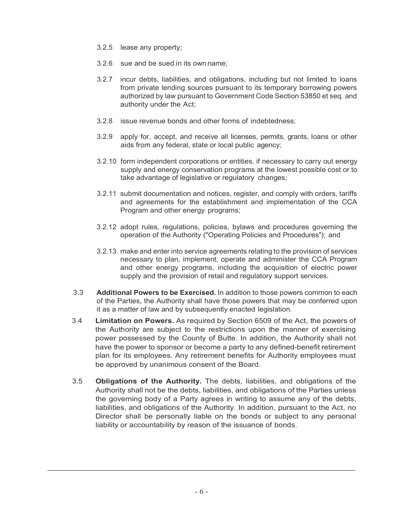- 3.2.5 lease any property;
- 3.2.6 sue and be sued in its own name;
- 3.2.7 incur debts, liabilities, and obligations, including but not limited to loans from private lending sources pursuant to its temporary borrowing powers authorized by law pursuant to Government Code Section 53850 et seq. and authority under the Act;
- 3.2.8 issue revenue bonds and other forms of indebtedness;
- 3.2.9 apply for, accept, and receive all licenses, permits, grants, loans or other aids from any federal, state or local public agency;
- 3.2.10 form independent corporations or entities, if necessary to carry out energy supply and energy conservation programs at the lowest possible cost or to take advantage of legislative or regulatory changes;
- 3.2.11 submit documentation and notices, register, and comply with orders, tariffs and agreements for the establishment and implementation of the CCA Program and other energy programs;
- 3.2.12 adopt rules, regulations, policies, bylaws and procedures governing the operation of the Authority ("Operating Policies and Procedures"); and
- 3.2.13 make and enter into service agreements relating to the provision of services necessary to plan, implement, operate and administer the CCA Program and other energy programs, including the acquisition of electric power supply and the provision of retail and regulatory support services.
- 3.3 **Additional Powers to be Exercised.** In addition to those powers common to each of the Parties, the Authority shall have those powers that may be conferred upon it as a matter of law and by subsequently enacted legislation.
- 3.4 **Limitation on Powers.** As required by Section 6509 of the Act, the powers of the Authority are subject to the restrictions upon the manner of exercising power possessed by the County of Butte. In addition, the Authority shall not have the power to sponsor or become a party to any defined-benefit retirement plan for its employees. Any retirement benefits for Authority employees must be approved by unanimous consent of the Board.
- 3.5 **Obligations of the Authority.** The debts, liabilities, and obligations of the Authority shall not be the debts, liabilities, and obligations of the Parties unless the governing body of a Party agrees in writing to assume any of the debts, liabilities, and obligations of the Authority. In addition, pursuant to the Act, no Director shall be personally liable on the bonds or subject to any personal liability or accountability by reason of the issuance of bonds.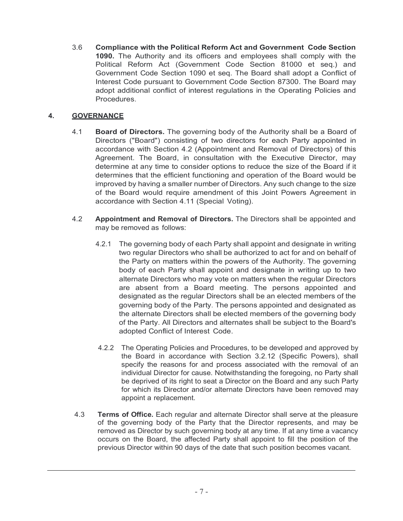3.6 **Compliance with the Political Reform Act and Government Code Section 1090.** The Authority and its officers and employees shall comply with the Political Reform Act (Government Code Section 81000 et seq.) and Government Code Section 1090 et seq. The Board shall adopt a Conflict of Interest Code pursuant to Government Code Section 87300. The Board may adopt additional conflict of interest regulations in the Operating Policies and **Procedures** 

# **4. GOVERNANCE**

- 4.1 **Board of Directors.** The governing body of the Authority shall be a Board of Directors ("Board") consisting of two directors for each Party appointed in accordance with Section 4.2 (Appointment and Removal of Directors) of this Agreement. The Board, in consultation with the Executive Director, may determine at any time to consider options to reduce the size of the Board if it determines that the efficient functioning and operation of the Board would be improved by having a smaller number of Directors. Any such change to the size of the Board would require amendment of this Joint Powers Agreement in accordance with Section 4.11 (Special Voting).
- 4.2 **Appointment and Removal of Directors.** The Directors shall be appointed and may be removed as follows:
	- 4.2.1 The governing body of each Party shall appoint and designate in writing two regular Directors who shall be authorized to act for and on behalf of the Party on matters within the powers of the Authority. The governing body of each Party shall appoint and designate in writing up to two alternate Directors who may vote on matters when the regular Directors are absent from a Board meeting. The persons appointed and designated as the regular Directors shall be an elected members of the governing body of the Party. The persons appointed and designated as the alternate Directors shall be elected members of the governing body of the Party. All Directors and alternates shall be subject to the Board's adopted Conflict of Interest Code.
	- 4.2.2 The Operating Policies and Procedures, to be developed and approved by the Board in accordance with Section 3.2.12 (Specific Powers), shall specify the reasons for and process associated with the removal of an individual Director for cause. Notwithstanding the foregoing, no Party shall be deprived of its right to seat a Director on the Board and any such Party for which its Director and/or alternate Directors have been removed may appoint a replacement.
- 4.3 **Terms of Office.** Each regular and alternate Director shall serve at the pleasure of the governing body of the Party that the Director represents, and may be removed as Director by such governing body at any time. If at any time a vacancy occurs on the Board, the affected Party shall appoint to fill the position of the previous Director within 90 days of the date that such position becomes vacant.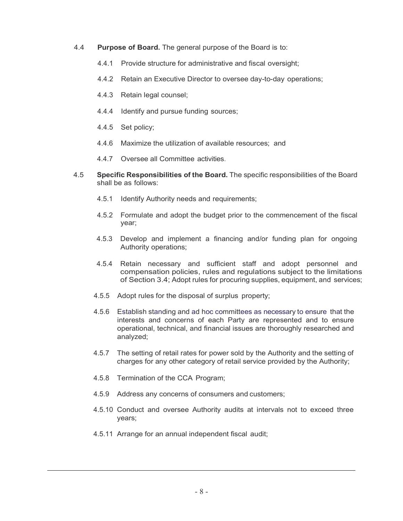- 4.4 **Purpose of Board.** The general purpose of the Board is to:
	- 4.4.1 Provide structure for administrative and fiscal oversight;
	- 4.4.2 Retain an Executive Director to oversee day-to-day operations;
	- 4.4.3 Retain legal counsel;
	- 4.4.4 Identify and pursue funding sources;
	- 4.4.5 Set policy;
	- 4.4.6 Maximize the utilization of available resources; and
	- 4.4.7 Oversee all Committee activities.
- 4.5 **Specific Responsibilities of the Board.** The specific responsibilities of the Board shall be as follows:
	- 4.5.1 Identify Authority needs and requirements;
	- 4.5.2 Formulate and adopt the budget prior to the commencement of the fiscal year;
	- 4.5.3 Develop and implement a financing and/or funding plan for ongoing Authority operations;
	- 4.5.4 Retain necessary and sufficient staff and adopt personnel and compensation policies, rules and regulations subject to the limitations of Section 3.4; Adopt rules for procuring supplies, equipment, and services;
	- 4.5.5 Adopt rules for the disposal of surplus property;
	- 4.5.6 Establish standing and ad hoc committees as necessary to ensure that the interests and concerns of each Party are represented and to ensure operational, technical, and financial issues are thoroughly researched and analyzed;
	- 4.5.7 The setting of retail rates for power sold by the Authority and the setting of charges for any other category of retail service provided by the Authority;
	- 4.5.8 Termination of the CCA Program;
	- 4.5.9 Address any concerns of consumers and customers;
	- 4.5.10 Conduct and oversee Authority audits at intervals not to exceed three years;
	- 4.5.11 Arrange for an annual independent fiscal audit;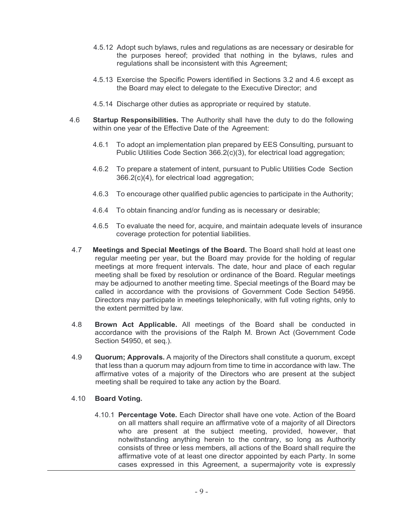- 4.5.12 Adopt such bylaws, rules and regulations as are necessary or desirable for the purposes hereof; provided that nothing in the bylaws, rules and regulations shall be inconsistent with this Agreement;
- 4.5.13 Exercise the Specific Powers identified in Sections 3.2 and 4.6 except as the Board may elect to delegate to the Executive Director; and
- 4.5.14 Discharge other duties as appropriate or required by statute.
- 4.6 **Startup Responsibilities.** The Authority shall have the duty to do the following within one year of the Effective Date of the Agreement:
	- 4.6.1 To adopt an implementation plan prepared by EES Consulting, pursuant to Public Utilities Code Section 366.2(c)(3), for electrical load aggregation;
	- 4.6.2 To prepare a statement of intent, pursuant to Public Utilities Code Section 366.2(c)(4), for electrical load aggregation;
	- 4.6.3 To encourage other qualified public agencies to participate in the Authority;
	- 4.6.4 To obtain financing and/or funding as is necessary or desirable;
	- 4.6.5 To evaluate the need for, acquire, and maintain adequate levels of insurance coverage protection for potential liabilities.
- 4.7 **Meetings and Special Meetings of the Board.** The Board shall hold at least one regular meeting per year, but the Board may provide for the holding of regular meetings at more frequent intervals. The date, hour and place of each regular meeting shall be fixed by resolution or ordinance of the Board. Regular meetings may be adjourned to another meeting time. Special meetings of the Board may be called in accordance with the provisions of Government Code Section 54956. Directors may participate in meetings telephonically, with full voting rights, only to the extent permitted by law.
- 4.8 **Brown Act Applicable.** All meetings of the Board shall be conducted in accordance with the provisions of the Ralph M. Brown Act (Government Code Section 54950, et seq.).
- 4.9 **Quorum; Approvals.** A majority of the Directors shall constitute a quorum, except that less than a quorum may adjourn from time to time in accordance with law. The affirmative votes of a majority of the Directors who are present at the subject meeting shall be required to take any action by the Board.
- 4.10 **Board Voting.**
	- 4.10.1 **Percentage Vote.** Each Director shall have one vote. Action of the Board on all matters shall require an affirmative vote of a majority of all Directors who are present at the subject meeting, provided, however, that notwithstanding anything herein to the contrary, so long as Authority consists of three or less members, all actions of the Board shall require the affirmative vote of at least one director appointed by each Party. In some cases expressed in this Agreement, a supermajority vote is expressly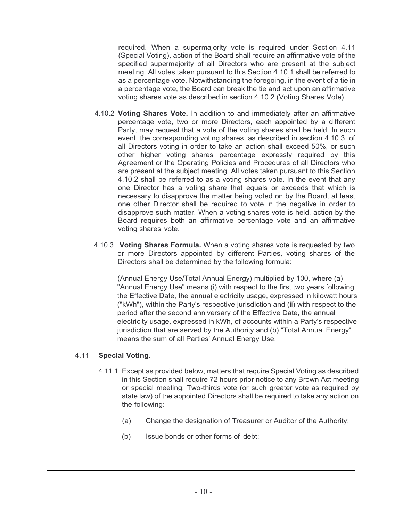required. When a supermajority vote is required under Section 4.11 (Special Voting), action of the Board shall require an affirmative vote of the specified supermajority of all Directors who are present at the subject meeting. All votes taken pursuant to this Section 4.10.1 shall be referred to as a percentage vote. Notwithstanding the foregoing, in the event of a tie in a percentage vote, the Board can break the tie and act upon an affirmative voting shares vote as described in section 4.10.2 (Voting Shares Vote).

- 4.10.2 **Voting Shares Vote.** In addition to and immediately after an affirmative percentage vote, two or more Directors, each appointed by a different Party, may request that a vote of the voting shares shall be held. In such event, the corresponding voting shares, as described in section 4.10.3, of all Directors voting in order to take an action shall exceed 50%, or such other higher voting shares percentage expressly required by this Agreement or the Operating Policies and Procedures of all Directors who are present at the subject meeting. All votes taken pursuant to this Section 4.10.2 shall be referred to as a voting shares vote. In the event that any one Director has a voting share that equals or exceeds that which is necessary to disapprove the matter being voted on by the Board, at least one other Director shall be required to vote in the negative in order to disapprove such matter. When a voting shares vote is held, action by the Board requires both an affirmative percentage vote and an affirmative voting shares vote.
- 4.10.3 **Voting Shares Formula.** When a voting shares vote is requested by two or more Directors appointed by different Parties, voting shares of the Directors shall be determined by the following formula:

(Annual Energy Use/Total Annual Energy) multiplied by 100, where (a) "Annual Energy Use" means (i) with respect to the first two years following the Effective Date, the annual electricity usage, expressed in kilowatt hours ("kWh"), within the Party's respective jurisdiction and (ii) with respect to the period after the second anniversary of the Effective Date, the annual electricity usage, expressed in kWh, of accounts within a Party's respective jurisdiction that are served by the Authority and (b) "Total Annual Energy" means the sum of all Parties' Annual Energy Use.

### 4.11 **Special Voting.**

- 4.11.1 Except as provided below, matters that require Special Voting as described in this Section shall require 72 hours prior notice to any Brown Act meeting or special meeting. Two-thirds vote (or such greater vote as required by state law) of the appointed Directors shall be required to take any action on the following:
	- (a) Change the designation of Treasurer or Auditor of the Authority;
	- (b) Issue bonds or other forms of debt;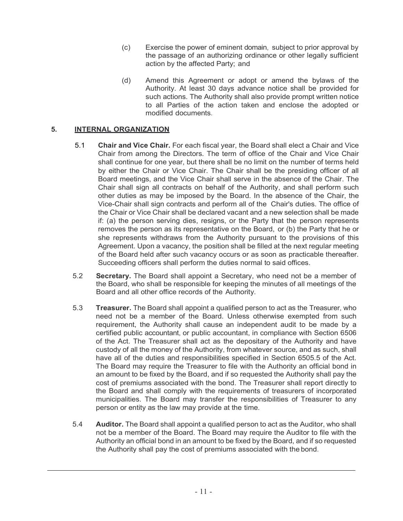- (c) Exercise the power of eminent domain, subject to prior approval by the passage of an authorizing ordinance or other legally sufficient action by the affected Party; and
- (d) Amend this Agreement or adopt or amend the bylaws of the Authority. At least 30 days advance notice shall be provided for such actions. The Authority shall also provide prompt written notice to all Parties of the action taken and enclose the adopted or modified documents.

# **5. INTERNAL ORGANIZATION**

- 5.1 **Chair and Vice Chair.** For each fiscal year, the Board shall elect a Chair and Vice Chair from among the Directors. The term of office of the Chair and Vice Chair shall continue for one year, but there shall be no limit on the number of terms held by either the Chair or Vice Chair. The Chair shall be the presiding officer of all Board meetings, and the Vice Chair shall serve in the absence of the Chair. The Chair shall sign all contracts on behalf of the Authority, and shall perform such other duties as may be imposed by the Board. In the absence of the Chair, the Vice-Chair shall sign contracts and perform all of the Chair's duties. The office of the Chair or Vice Chair shall be declared vacant and a new selection shall be made if: (a) the person serving dies, resigns, or the Party that the person represents removes the person as its representative on the Board, or (b) the Party that he or she represents withdraws from the Authority pursuant to the provisions of this Agreement. Upon a vacancy, the position shall be filled at the next regular meeting of the Board held after such vacancy occurs or as soon as practicable thereafter. Succeeding officers shall perform the duties normal to said offices.
- 5.2 **Secretary.** The Board shall appoint a Secretary, who need not be a member of the Board, who shall be responsible for keeping the minutes of all meetings of the Board and all other office records of the Authority.
- 5.3 **Treasurer.** The Board shall appoint a qualified person to act as the Treasurer, who need not be a member of the Board. Unless otherwise exempted from such requirement, the Authority shall cause an independent audit to be made by a certified public accountant, or public accountant, in compliance with Section 6506 of the Act. The Treasurer shall act as the depositary of the Authority and have custody of all the money of the Authority, from whatever source, and as such, shall have all of the duties and responsibilities specified in Section 6505.5 of the Act. The Board may require the Treasurer to file with the Authority an official bond in an amount to be fixed by the Board, and if so requested the Authority shall pay the cost of premiums associated with the bond. The Treasurer shall report directly to the Board and shall comply with the requirements of treasurers of incorporated municipalities. The Board may transfer the responsibilities of Treasurer to any person or entity as the law may provide at the time.
- 5.4 **Auditor.** The Board shall appoint a qualified person to act as the Auditor, who shall not be a member of the Board. The Board may require the Auditor to file with the Authority an official bond in an amount to be fixed by the Board, and if so requested the Authority shall pay the cost of premiums associated with the bond.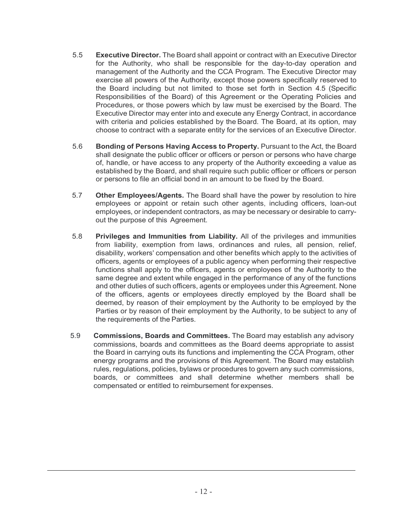- 5.5 **Executive Director.** The Board shall appoint or contract with an Executive Director for the Authority, who shall be responsible for the day-to-day operation and management of the Authority and the CCA Program. The Executive Director may exercise all powers of the Authority, except those powers specifically reserved to the Board including but not limited to those set forth in Section 4.5 (Specific Responsibilities of the Board) of this Agreement or the Operating Policies and Procedures, or those powers which by law must be exercised by the Board. The Executive Director may enter into and execute any Energy Contract, in accordance with criteria and policies established by the Board. The Board, at its option, may choose to contract with a separate entity for the services of an Executive Director.
- 5.6 **Bonding of Persons Having Access to Property.** Pursuant to the Act, the Board shall designate the public officer or officers or person or persons who have charge of, handle, or have access to any property of the Authority exceeding a value as established by the Board, and shall require such public officer or officers or person or persons to file an official bond in an amount to be fixed by the Board.
- 5.7 **Other Employees/Agents.** The Board shall have the power by resolution to hire employees or appoint or retain such other agents, including officers, loan-out employees, or independent contractors, as may be necessary or desirable to carryout the purpose of this Agreement.
- 5.8 **Privileges and Immunities from Liability.** All of the privileges and immunities from liability, exemption from laws, ordinances and rules, all pension, relief, disability, workers' compensation and other benefits which apply to the activities of officers, agents or employees of a public agency when performing their respective functions shall apply to the officers, agents or employees of the Authority to the same degree and extent while engaged in the performance of any of the functions and other duties of such officers, agents or employees under this Agreement. None of the officers, agents or employees directly employed by the Board shall be deemed, by reason of their employment by the Authority to be employed by the Parties or by reason of their employment by the Authority, to be subject to any of the requirements of the Parties.
- 5.9 **Commissions, Boards and Committees.** The Board may establish any advisory commissions, boards and committees as the Board deems appropriate to assist the Board in carrying outs its functions and implementing the CCA Program, other energy programs and the provisions of this Agreement. The Board may establish rules, regulations, policies, bylaws or procedures to govern any such commissions, boards, or committees and shall determine whether members shall be compensated or entitled to reimbursement for expenses.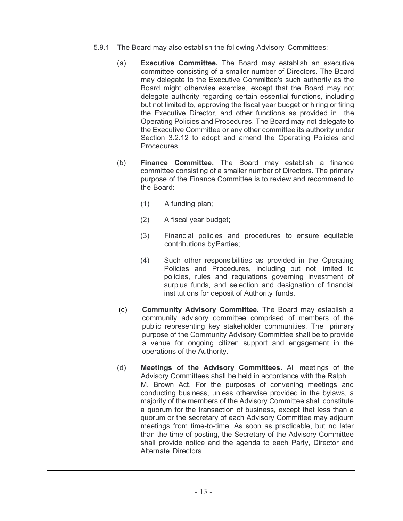- 5.9.1 The Board may also establish the following Advisory Committees:
	- (a) **Executive Committee.** The Board may establish an executive committee consisting of a smaller number of Directors. The Board may delegate to the Executive Committee's such authority as the Board might otherwise exercise, except that the Board may not delegate authority regarding certain essential functions, including but not limited to, approving the fiscal year budget or hiring or firing the Executive Director, and other functions as provided in the Operating Policies and Procedures. The Board may not delegate to the Executive Committee or any other committee its authority under Section 3.2.12 to adopt and amend the Operating Policies and Procedures.
	- (b) **Finance Committee.** The Board may establish a finance committee consisting of a smaller number of Directors. The primary purpose of the Finance Committee is to review and recommend to the Board:
		- (1) A funding plan;
		- (2) A fiscal year budget;
		- (3) Financial policies and procedures to ensure equitable contributions byParties;
		- (4) Such other responsibilities as provided in the Operating Policies and Procedures, including but not limited to policies, rules and regulations governing investment of surplus funds, and selection and designation of financial institutions for deposit of Authority funds.
	- (c) **Community Advisory Committee.** The Board may establish a community advisory committee comprised of members of the public representing key stakeholder communities. The primary purpose of the Community Advisory Committee shall be to provide a venue for ongoing citizen support and engagement in the operations of the Authority.
	- (d) **Meetings of the Advisory Committees.** All meetings of the Advisory Committees shall be held in accordance with the Ralph M. Brown Act. For the purposes of convening meetings and conducting business, unless otherwise provided in the bylaws, a majority of the members of the Advisory Committee shall constitute a quorum for the transaction of business, except that less than a quorum or the secretary of each Advisory Committee may adjourn meetings from time-to-time. As soon as practicable, but no later than the time of posting, the Secretary of the Advisory Committee shall provide notice and the agenda to each Party, Director and Alternate Directors.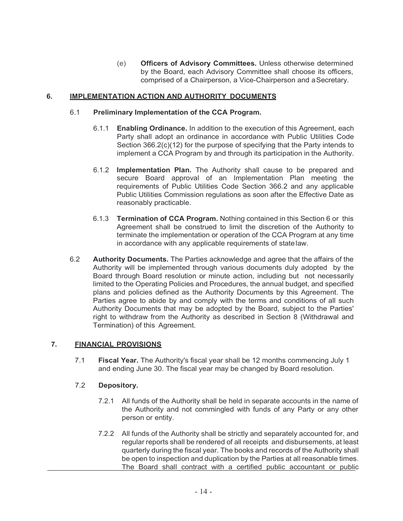(e) **Officers of Advisory Committees.** Unless otherwise determined by the Board, each Advisory Committee shall choose its officers, comprised of a Chairperson, a Vice-Chairperson and aSecretary.

## **6. IMPLEMENTATION ACTION AND AUTHORITY DOCUMENTS**

### 6.1 **Preliminary Implementation of the CCA Program.**

- 6.1.1 **Enabling Ordinance.** In addition to the execution of this Agreement, each Party shall adopt an ordinance in accordance with Public Utilities Code Section 366.2(c)(12) for the purpose of specifying that the Party intends to implement a CCA Program by and through its participation in the Authority.
- 6.1.2 **Implementation Plan.** The Authority shall cause to be prepared and secure Board approval of an Implementation Plan meeting the requirements of Public Utilities Code Section 366.2 and any applicable Public Utilities Commission regulations as soon after the Effective Date as reasonably practicable.
- 6.1.3 **Termination of CCA Program.** Nothing contained in this Section 6 or this Agreement shall be construed to limit the discretion of the Authority to terminate the implementation or operation of the CCA Program at any time in accordance with any applicable requirements of statelaw.
- 6.2 **Authority Documents.** The Parties acknowledge and agree that the affairs of the Authority will be implemented through various documents duly adopted by the Board through Board resolution or minute action, including but not necessarily limited to the Operating Policies and Procedures, the annual budget, and specified plans and policies defined as the Authority Documents by this Agreement. The Parties agree to abide by and comply with the terms and conditions of all such Authority Documents that may be adopted by the Board, subject to the Parties' right to withdraw from the Authority as described in Section 8 (Withdrawal and Termination) of this Agreement.

### **7. FINANCIAL PROVISIONS**

7.1 **Fiscal Year.** The Authority's fiscal year shall be 12 months commencing July 1 and ending June 30. The fiscal year may be changed by Board resolution.

### 7.2 **Depository.**

- 7.2.1 All funds of the Authority shall be held in separate accounts in the name of the Authority and not commingled with funds of any Party or any other person or entity.
- 7.2.2 All funds of the Authority shall be strictly and separately accounted for, and regular reports shall be rendered of all receipts and disbursements, at least quarterly during the fiscal year. The books and records of the Authority shall be open to inspection and duplication by the Parties at all reasonable times. The Board shall contract with a certified public accountant or public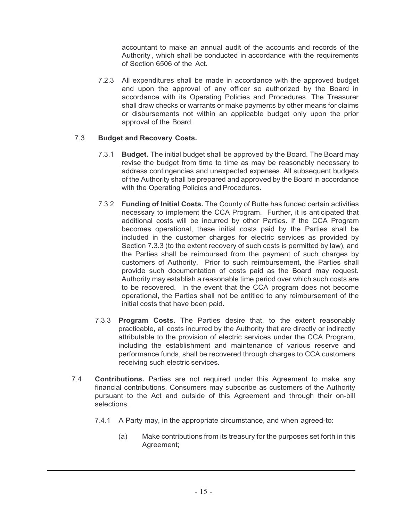accountant to make an annual audit of the accounts and records of the Authority , which shall be conducted in accordance with the requirements of Section 6506 of the Act.

7.2.3 All expenditures shall be made in accordance with the approved budget and upon the approval of any officer so authorized by the Board in accordance with its Operating Policies and Procedures. The Treasurer shall draw checks or warrants or make payments by other means for claims or disbursements not within an applicable budget only upon the prior approval of the Board.

# 7.3 **Budget and Recovery Costs.**

- 7.3.1 **Budget.** The initial budget shall be approved by the Board. The Board may revise the budget from time to time as may be reasonably necessary to address contingencies and unexpected expenses. All subsequent budgets of the Authority shall be prepared and approved by the Board in accordance with the Operating Policies and Procedures.
- 7.3.2 **Funding of Initial Costs.** The County of Butte has funded certain activities necessary to implement the CCA Program. Further, it is anticipated that additional costs will be incurred by other Parties. If the CCA Program becomes operational, these initial costs paid by the Parties shall be included in the customer charges for electric services as provided by Section 7.3.3 (to the extent recovery of such costs is permitted by law), and the Parties shall be reimbursed from the payment of such charges by customers of Authority. Prior to such reimbursement, the Parties shall provide such documentation of costs paid as the Board may request. Authority may establish a reasonable time period over which such costs are to be recovered. In the event that the CCA program does not become operational, the Parties shall not be entitled to any reimbursement of the initial costs that have been paid.
- 7.3.3 **Program Costs.** The Parties desire that, to the extent reasonably practicable, all costs incurred by the Authority that are directly or indirectly attributable to the provision of electric services under the CCA Program, including the establishment and maintenance of various reserve and performance funds, shall be recovered through charges to CCA customers receiving such electric services.
- 7.4 **Contributions.** Parties are not required under this Agreement to make any financial contributions. Consumers may subscribe as customers of the Authority pursuant to the Act and outside of this Agreement and through their on-bill selections.
	- 7.4.1 A Party may, in the appropriate circumstance, and when agreed-to:
		- (a) Make contributions from its treasury for the purposes set forth in this Agreement;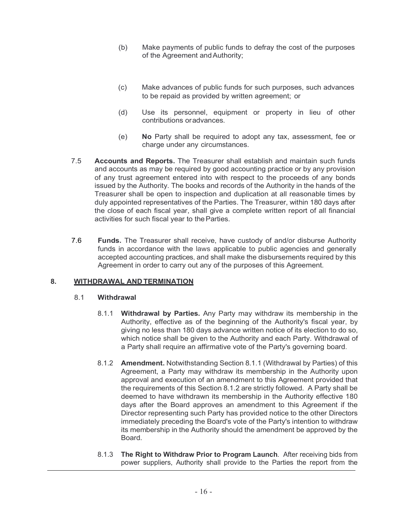- (b) Make payments of public funds to defray the cost of the purposes of the Agreement and Authority;
- (c) Make advances of public funds for such purposes, such advances to be repaid as provided by written agreement; or
- (d) Use its personnel, equipment or property in lieu of other contributions oradvances.
- (e) **No** Party shall be required to adopt any tax, assessment, fee or charge under any circumstances.
- 7.5 **Accounts and Reports.** The Treasurer shall establish and maintain such funds and accounts as may be required by good accounting practice or by any provision of any trust agreement entered into with respect to the proceeds of any bonds issued by the Authority. The books and records of the Authority in the hands of the Treasurer shall be open to inspection and duplication at all reasonable times by duly appointed representatives of the Parties. The Treasurer, within 180 days after the close of each fiscal year, shall give a complete written report of all financial activities for such fiscal year to theParties.
- 7.6 **Funds.** The Treasurer shall receive, have custody of and/or disburse Authority funds in accordance with the laws applicable to public agencies and generally accepted accounting practices, and shall make the disbursements required by this Agreement in order to carry out any of the purposes of this Agreement.

### **8. WITHDRAWAL AND TERMINATION**

#### 8.1 **Withdrawal**

- 8.1.1 **Withdrawal by Parties.** Any Party may withdraw its membership in the Authority, effective as of the beginning of the Authority's fiscal year, by giving no less than 180 days advance written notice of its election to do so, which notice shall be given to the Authority and each Party. Withdrawal of a Party shall require an affirmative vote of the Party's governing board.
- 8.1.2 **Amendment.** Notwithstanding Section 8.1.1 (Withdrawal by Parties) of this Agreement, a Party may withdraw its membership in the Authority upon approval and execution of an amendment to this Agreement provided that the requirements of this Section 8.1.2 are strictly followed. A Party shall be deemed to have withdrawn its membership in the Authority effective 180 days after the Board approves an amendment to this Agreement if the Director representing such Party has provided notice to the other Directors immediately preceding the Board's vote of the Party's intention to withdraw its membership in the Authority should the amendment be approved by the Board.
- 8.1.3 **The Right to Withdraw Prior to Program Launch**. After receiving bids from power suppliers, Authority shall provide to the Parties the report from the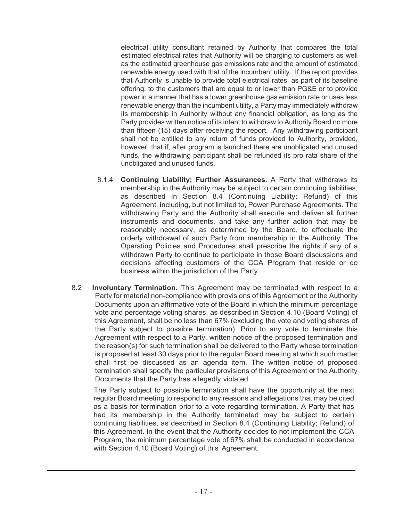electrical utility consultant retained by Authority that compares the total estimated electrical rates that Authority will be charging to customers as well as the estimated greenhouse gas emissions rate and the amount of estimated renewable energy used with that of the incumbent utility. If the report provides that Authority is unable to provide total electrical rates, as part of its baseline offering, to the customers that are equal to or lower than PG&E or to provide power in a manner that has a lower greenhouse gas emission rate or uses less renewable energy than the incumbent utility, a Party may immediately withdraw its membership in Authority without any financial obligation, as long as the Party provides written notice of its intent to withdraw to Authority Board no more than fifteen (15) days after receiving the report. Any withdrawing participant shall not be entitled to any return of funds provided to Authority, provided, however, that if, after program is launched there are unobligated and unused funds, the withdrawing participant shall be refunded its pro rata share of the unobligated and unused funds.

- 8.1.4 **Continuing Liability; Further Assurances.** A Party that withdraws its membership in the Authority may be subject to certain continuing liabilities, as described in Section 8.4 (Continuing Liability; Refund) of this Agreement, including, but not limited to, Power Purchase Agreements. The withdrawing Party and the Authority shall execute and deliver all further instruments and documents, and take any further action that may be reasonably necessary, as determined by the Board, to effectuate the orderly withdrawal of such Party from membership in the Authority. The Operating Policies and Procedures shall prescribe the rights if any of a withdrawn Party to continue to participate in those Board discussions and decisions affecting customers of the CCA Program that reside or do business within the jurisdiction of the Party.
- 8.2 **Involuntary Termination.** This Agreement may be terminated with respect to a Party for material non-compliance with provisions of this Agreement or the Authority Documents upon an affirmative vote of the Board in which the minimum percentage vote and percentage voting shares, as described in Section 4.10 (Board Voting) of this Agreement, shall be no less than 67% (excluding the vote and voting shares of the Party subject to possible termination). Prior to any vote to terminate this Agreement with respect to a Party, written notice of the proposed termination and the reason(s) for such termination shall be delivered to the Party whose termination is proposed at least 30 days prior to the regular Board meeting at which such matter shall first be discussed as an agenda item. The written notice of proposed termination shall specify the particular provisions of this Agreement or the Authority Documents that the Party has allegedly violated.

The Party subject to possible termination shall have the opportunity at the next regular Board meeting to respond to any reasons and allegations that may be cited as a basis for termination prior to a vote regarding termination. A Party that has had its membership in the Authority terminated may be subject to certain continuing liabilities, as described in Section 8.4 (Continuing Liability; Refund) of this Agreement. In the event that the Authority decides to not implement the CCA Program, the minimum percentage vote of 67% shall be conducted in accordance with Section 4.10 (Board Voting) of this Agreement.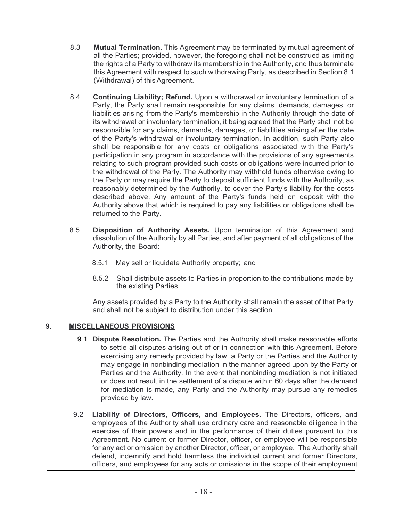- 8.3 **Mutual Termination.** This Agreement may be terminated by mutual agreement of all the Parties; provided, however, the foregoing shall not be construed as limiting the rights of a Party to withdraw its membership in the Authority, and thus terminate this Agreement with respect to such withdrawing Party, as described in Section 8.1 (Withdrawal) of this Agreement.
- 8.4 **Continuing Liability; Refund.** Upon a withdrawal or involuntary termination of a Party, the Party shall remain responsible for any claims, demands, damages, or liabilities arising from the Party's membership in the Authority through the date of its withdrawal or involuntary termination, it being agreed that the Party shall not be responsible for any claims, demands, damages, or liabilities arising after the date of the Party's withdrawal or involuntary termination. In addition, such Party also shall be responsible for any costs or obligations associated with the Party's participation in any program in accordance with the provisions of any agreements relating to such program provided such costs or obligations were incurred prior to the withdrawal of the Party. The Authority may withhold funds otherwise owing to the Party or may require the Party to deposit sufficient funds with the Authority, as reasonably determined by the Authority, to cover the Party's liability for the costs described above. Any amount of the Party's funds held on deposit with the Authority above that which is required to pay any liabilities or obligations shall be returned to the Party.
- 8.5 **Disposition of Authority Assets.** Upon termination of this Agreement and dissolution of the Authority by all Parties, and after payment of all obligations of the Authority, the Board:
	- 8.5.1 May sell or liquidate Authority property; and
	- 8.5.2 Shall distribute assets to Parties in proportion to the contributions made by the existing Parties.

Any assets provided by a Party to the Authority shall remain the asset of that Party and shall not be subject to distribution under this section.

# **9. MISCELLANEOUS PROVISIONS**

- 9.1 **Dispute Resolution.** The Parties and the Authority shall make reasonable efforts to settle all disputes arising out of or in connection with this Agreement. Before exercising any remedy provided by law, a Party or the Parties and the Authority may engage in nonbinding mediation in the manner agreed upon by the Party or Parties and the Authority. In the event that nonbinding mediation is not initiated or does not result in the settlement of a dispute within 60 days after the demand for mediation is made, any Party and the Authority may pursue any remedies provided by law.
- 9.2 **Liability of Directors, Officers, and Employees.** The Directors, officers, and employees of the Authority shall use ordinary care and reasonable diligence in the exercise of their powers and in the performance of their duties pursuant to this Agreement. No current or former Director, officer, or employee will be responsible for any act or omission by another Director, officer, or employee. The Authority shall defend, indemnify and hold harmless the individual current and former Directors, officers, and employees for any acts or omissions in the scope of their employment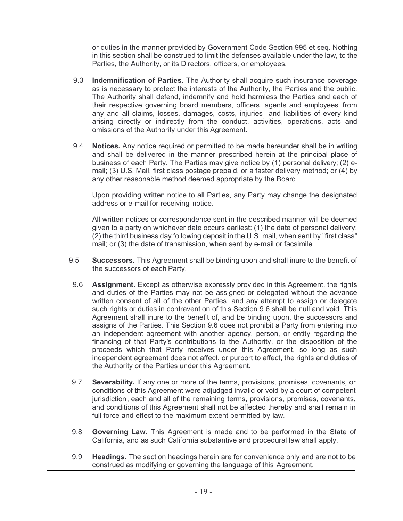or duties in the manner provided by Government Code Section 995 et seq. Nothing in this section shall be construed to limit the defenses available under the law, to the Parties, the Authority, or its Directors, officers, or employees.

- 9.3 **Indemnification of Parties.** The Authority shall acquire such insurance coverage as is necessary to protect the interests of the Authority, the Parties and the public. The Authority shall defend, indemnify and hold harmless the Parties and each of their respective governing board members, officers, agents and employees, from any and all claims, losses, damages, costs, injuries and liabilities of every kind arising directly or indirectly from the conduct, activities, operations, acts and omissions of the Authority under this Agreement.
- 9.4 **Notices.** Any notice required or permitted to be made hereunder shall be in writing and shall be delivered in the manner prescribed herein at the principal place of business of each Party. The Parties may give notice by (1) personal delivery; (2) email; (3) U.S. Mail, first class postage prepaid, or a faster delivery method; or (4) by any other reasonable method deemed appropriate by the Board.

Upon providing written notice to all Parties, any Party may change the designated address or e-mail for receiving notice.

All written notices or correspondence sent in the described manner will be deemed given to a party on whichever date occurs earliest: (1) the date of personal delivery; (2) the third business day following deposit in the U.S. mail, when sent by "first class" mail; or (3) the date of transmission, when sent by e-mail or facsimile.

- 9.5 **Successors.** This Agreement shall be binding upon and shall inure to the benefit of the successors of each Party.
- 9.6 **Assignment.** Except as otherwise expressly provided in this Agreement, the rights and duties of the Parties may not be assigned or delegated without the advance written consent of all of the other Parties, and any attempt to assign or delegate such rights or duties in contravention of this Section 9.6 shall be null and void. This Agreement shall inure to the benefit of, and be binding upon, the successors and assigns of the Parties. This Section 9.6 does not prohibit a Party from entering into an independent agreement with another agency, person, or entity regarding the financing of that Party's contributions to the Authority, or the disposition of the proceeds which that Party receives under this Agreement, so long as such independent agreement does not affect, or purport to affect, the rights and duties of the Authority or the Parties under this Agreement.
- 9.7 **Severability.** If any one or more of the terms, provisions, promises, covenants, or conditions of this Agreement were adjudged invalid or void by a court of competent jurisdiction, each and all of the remaining terms, provisions, promises, covenants, and conditions of this Agreement shall not be affected thereby and shall remain in full force and effect to the maximum extent permitted by law.
- 9.8 **Governing Law.** This Agreement is made and to be performed in the State of California, and as such California substantive and procedural law shall apply.
- 9.9 **Headings.** The section headings herein are for convenience only and are not to be construed as modifying or governing the language of this Agreement.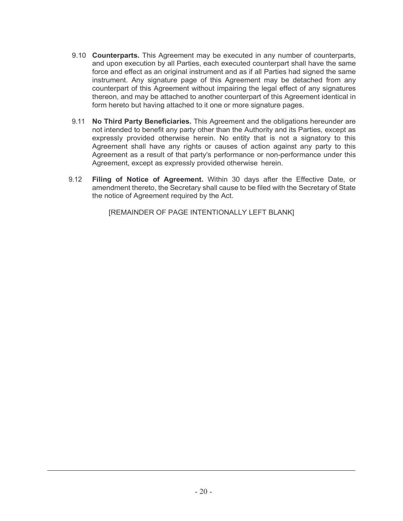- 9.10 **Counterparts.** This Agreement may be executed in any number of counterparts, and upon execution by all Parties, each executed counterpart shall have the same force and effect as an original instrument and as if all Parties had signed the same instrument. Any signature page of this Agreement may be detached from any counterpart of this Agreement without impairing the legal effect of any signatures thereon, and may be attached to another counterpart of this Agreement identical in form hereto but having attached to it one or more signature pages.
- 9.11 **No Third Party Beneficiaries.** This Agreement and the obligations hereunder are not intended to benefit any party other than the Authority and its Parties, except as expressly provided otherwise herein. No entity that is not a signatory to this Agreement shall have any rights or causes of action against any party to this Agreement as a result of that party's performance or non-performance under this Agreement, except as expressly provided otherwise herein.
- 9.12 **Filing of Notice of Agreement.** Within 30 days after the Effective Date, or amendment thereto, the Secretary shall cause to be filed with the Secretary of State the notice of Agreement required by the Act.

[REMAINDER OF PAGE INTENTIONALLY LEFT BLANK]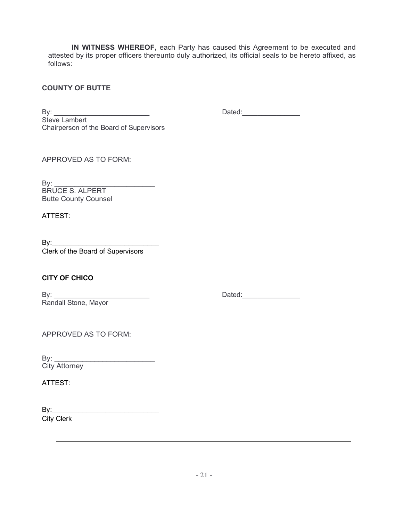**IN WITNESS WHEREOF,** each Party has caused this Agreement to be executed and attested by its proper officers thereunto duly authorized, its official seals to be hereto affixed, as follows:

# **COUNTY OF BUTTE**

By: \_\_\_\_\_\_\_\_\_\_\_\_\_\_\_\_\_\_\_\_\_\_\_\_\_ Dated:\_\_\_\_\_\_\_\_\_\_\_\_\_\_\_ Steve Lambert Chairperson of the Board of Supervisors

APPROVED AS TO FORM:

By: \_\_\_\_\_\_\_\_\_\_\_\_\_\_\_\_\_\_\_\_\_\_\_\_\_ BRUCE S. ALPERT Butte County Counsel

ATTEST:

 $\mathsf{By:}$ Clerk of the Board of Supervisors

# **CITY OF CHICO**

By: \_\_\_\_\_\_\_\_\_\_\_\_\_\_\_\_\_\_\_\_\_\_\_\_\_ Dated:\_\_\_\_\_\_\_\_\_\_\_\_\_\_\_ Randall Stone, Mayor

APPROVED AS TO FORM:

By: \_\_\_\_\_\_\_\_\_\_\_\_\_\_\_\_\_\_\_\_\_\_\_\_\_ City Attorney

ATTEST:

By:\_\_\_\_\_\_\_\_\_\_\_\_\_\_\_\_\_\_\_\_\_\_\_\_\_\_\_\_ City Clerk